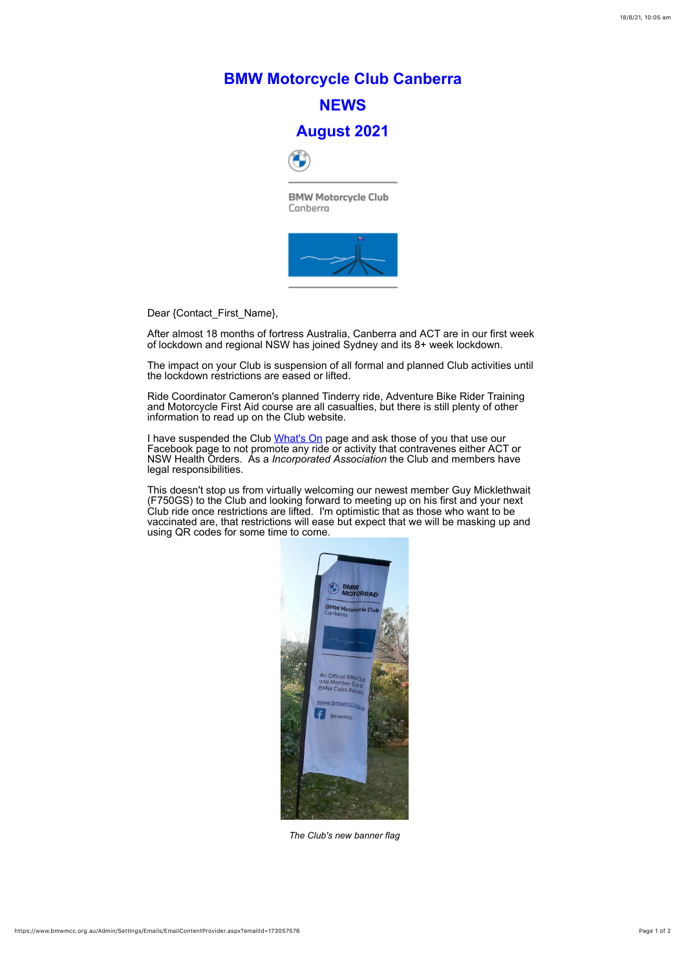## **BMW Motorcycle Club Canberra NEWS**

## **August 2021**



**BMW Motorcycle Club** Canberra



Dear {Contact\_First\_Name},

After almost 18 months of fortress Australia, Canberra and ACT are in our first week of lockdown and regional NSW has joined Sydney and its 8+ week lockdown.

The impact on your Club is suspension of all formal and planned Club activities until the lockdown restrictions are eased or lifted.

I have suspended the Club [What's On](https://www.bmwmcc.org.au/page-1419638) page and ask those of you that use our Facebook page to not promote any ride or activity that contravenes either ACT or NSW Health Orders. As a *Incorporated Association* the Club and members have legal responsibilities.

Ride Coordinator Cameron's planned Tinderry ride, Adventure Bike Rider Training and Motorcycle First Aid course are all casualties, but there is still plenty of other information to read up on the Club website.

This doesn't stop us from virtually welcoming our newest member Guy Micklethwait (F750GS) to the Club and looking forward to meeting up on his first and your next Club ride once restrictions are lifted. I'm optimistic that as those who want to be vaccinated are, that restrictions will ease but expect that we will be masking up and using QR codes for some time to come.



## *The Club's new banner flag*

https://www.bmwmcc.org.au/Admin/Settings/Emails/EmailContentProvider.aspx?emailId=173057576 Page 1 of 2